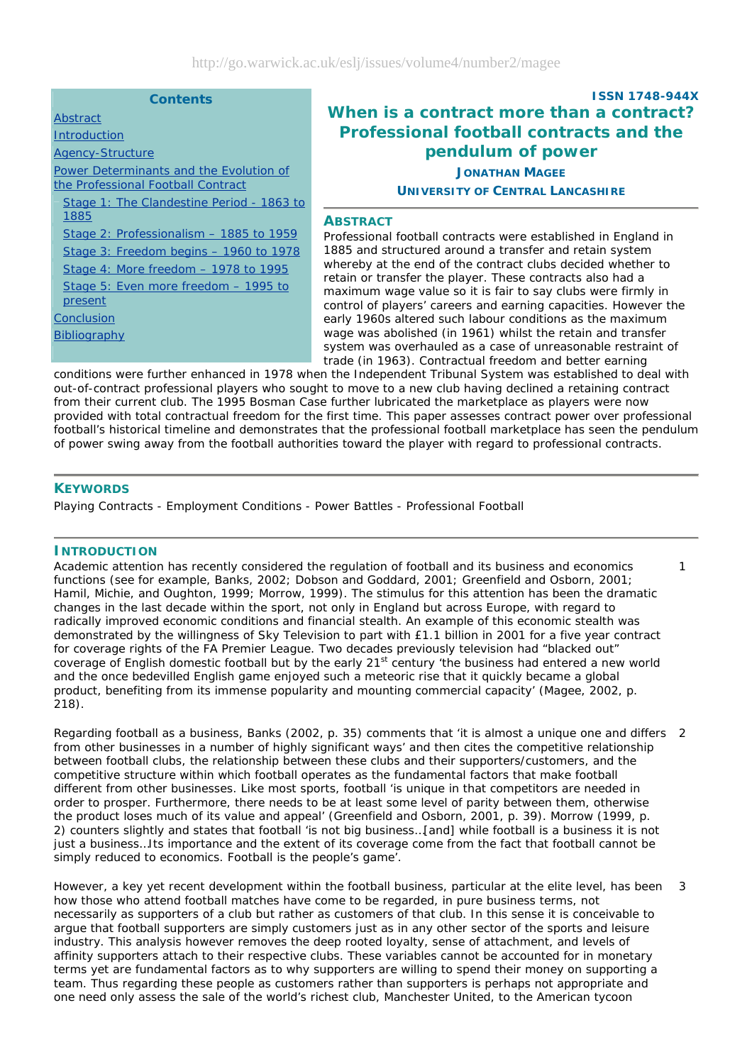| <b>Contents</b>                                                                                                                                                                |                                                  |
|--------------------------------------------------------------------------------------------------------------------------------------------------------------------------------|--------------------------------------------------|
| Abstract                                                                                                                                                                       | Wŀ                                               |
| <b>Introduction</b>                                                                                                                                                            | P                                                |
| <b>Agency-Structure</b>                                                                                                                                                        |                                                  |
| Power Determinants and the Evolution of<br>the Professional Football Contract                                                                                                  |                                                  |
| Stage 1: The Clandestine Period - 1863 to<br>1885                                                                                                                              | <b>ABS</b>                                       |
| Stage 2: Professionalism – 1885 to 1959<br>Stage 3: Freedom begins - 1960 to 1978<br>Stage 4: More freedom $-$ 1978 to 1995<br>Stage 5: Even more freedom - 1995 to<br>present | Profe<br>1885<br>wher<br>retair<br>maxi<br>contr |
| Conclusion<br><b>Bibliography</b>                                                                                                                                              | early<br>wage<br>syste<br>trade                  |

# **ISSN 1748-944X When is a contract more than a contract? Professional football contracts and the pendulum of power JONATHAN MAGEE**

# **UNIVERSITY OF CENTRAL LANCASHIRE**

#### **TRACT**

essional football contracts were established in England in and structured around a transfer and retain system eby at the end of the contract clubs decided whether to n or transfer the player. These contracts also had a mum wage value so it is fair to say clubs were firmly in ol of players' careers and earning capacities. However the 1960s altered such labour conditions as the maximum was abolished (in 1961) whilst the retain and transfer m was overhauled as a case of unreasonable restraint of trade (in 1963). Contractual freedom and better earning

1

conditions were further enhanced in 1978 when the Independent Tribunal System was established to deal with out-of-contract professional players who sought to move to a new club having declined a retaining contract from their current club. The 1995 *Bosman* Case further lubricated the marketplace as players were now provided with total contractual freedom for the first time. This paper assesses contract power over professional football's historical timeline and demonstrates that the professional football marketplace has seen the pendulum of power swing away from the football authorities toward the player with regard to professional contracts.

# **KEYWORDS**

Playing Contracts - Employment Conditions - Power Battles - Professional Football

#### **INTRODUCTION**

Academic attention has recently considered the regulation of football and its business and economics functions (see for example, Banks, 2002; Dobson and Goddard, 2001; Greenfield and Osborn, 2001; Hamil, Michie, and Oughton, 1999; Morrow, 1999). The stimulus for this attention has been the dramatic changes in the last decade within the sport, not only in England but across Europe, with regard to radically improved economic conditions and financial stealth. An example of this economic stealth was demonstrated by the willingness of *Sky Television* to part with £1.1 billion in 2001 for a five year contract for coverage rights of the FA Premier League. Two decades previously television had "blacked out" coverage of English domestic football but by the early 21<sup>st</sup> century 'the business had entered a new world and the once bedevilled English game enjoyed such a meteoric rise that it quickly became a global product, benefiting from its immense popularity and mounting commercial capacity' (Magee, 2002, p. 218).

Regarding football as a business, Banks (2002, p. 35) comments that 'it is almost a unique one and differs 2 from other businesses in a number of highly significant ways' and then cites the competitive relationship between football clubs, the relationship between these clubs and their supporters/customers, and the competitive structure within which football operates as the fundamental factors that make football different from other businesses. Like most sports, football 'is unique in that competitors are needed in order to prosper. Furthermore, there needs to be at least some level of parity between them, otherwise the product loses much of its value and appeal' (Greenfield and Osborn, 2001, p. 39). Morrow (1999, p. 2) counters slightly and states that football 'is not big business…[and] while football is a business it is not *just* a business…Its importance and the extent of its coverage come from the fact that football cannot be simply reduced to economics. Football is the people's game'.

However, a key yet recent development within the football business, particular at the elite level, has been how those who attend football matches have come to be regarded, in pure business terms, not necessarily as *supporters* of a club but rather as *customers* of that club. In this sense it is conceivable to argue that football supporters *are* simply customers just as in any other sector of the sports and leisure industry. This analysis however removes the deep rooted loyalty, sense of attachment, and levels of affinity supporters attach to their respective clubs. These variables cannot be accounted for in monetary terms yet are fundamental factors as to why supporters are willing to spend their money on supporting a team. Thus regarding these people as *customers* rather than *supporters* is perhaps not appropriate and one need only assess the sale of the world's richest club, Manchester United, to the American tycoon 3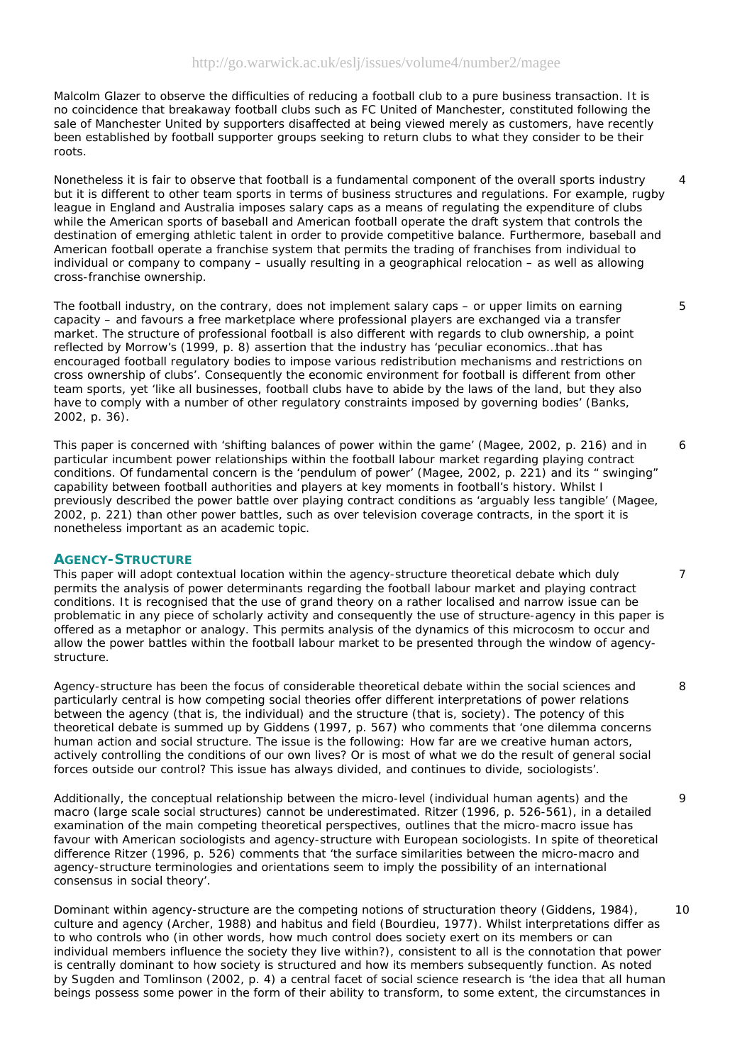Malcolm Glazer to observe the difficulties of reducing a football club to a pure business transaction. It is no coincidence that breakaway football clubs such as FC United of Manchester, constituted following the sale of Manchester United by supporters disaffected at being viewed merely as customers, have recently been established by football supporter groups seeking to return clubs to what they consider to be their roots.

Nonetheless it is fair to observe that football is a fundamental component of the overall sports industry but it is different to other team sports in terms of business structures and regulations. For example, rugby league in England and Australia imposes salary caps as a means of regulating the expenditure of clubs while the American sports of baseball and American football operate the draft system that controls the destination of emerging athletic talent in order to provide competitive balance. Furthermore, baseball and American football operate a franchise system that permits the trading of franchises from individual to individual or company to company – usually resulting in a geographical relocation – as well as allowing cross-franchise ownership.

The football industry, on the contrary, does not implement salary caps – or upper limits on earning capacity – and favours a free marketplace where professional players are exchanged via a transfer market. The structure of professional football is also different with regards to club ownership, a point reflected by Morrow's (1999, p. 8) assertion that the industry has 'peculiar economics…that has encouraged football regulatory bodies to impose various redistribution mechanisms and restrictions on cross ownership of clubs'. Consequently the economic environment for football is different from other team sports, yet 'like all businesses, football clubs have to abide by the laws of the land, but they also have to comply with a number of other regulatory constraints imposed by governing bodies' (Banks, 2002, p. 36).

This paper is concerned with 'shifting balances of power within the game' (Magee, 2002, p. 216) and in particular incumbent power relationships within the football labour market regarding playing contract conditions. Of fundamental concern is the 'pendulum of power' (Magee, 2002, p. 221) and its " swinging" capability between football authorities and players at key moments in football's history. Whilst I previously described the power battle over playing contract conditions as 'arguably less tangible' (Magee, 2002, p. 221) than other power battles, such as over television coverage contracts, in the sport it is nonetheless important as an academic topic. 6

### **AGENCY-STRUCTURE**

This paper will adopt contextual location within the agency-structure theoretical debate which duly permits the analysis of power determinants regarding the football labour market and playing contract conditions. It is recognised that the use of grand theory on a rather localised and narrow issue can be problematic in any piece of scholarly activity and consequently the use of structure-agency in this paper is offered as a metaphor or analogy. This permits analysis of the dynamics of this microcosm to occur and allow the power battles within the football labour market to be presented through the window of agencystructure.

Agency-structure has been the focus of considerable theoretical debate within the social sciences and particularly central is how competing social theories offer different interpretations of power relations between the agency (that is, the individual) and the structure (that is, society). The potency of this theoretical debate is summed up by Giddens (1997, p. 567) who comments that 'one dilemma concerns *human action* and *social structure*. The issue is the following: How far are we creative human actors, actively controlling the conditions of our own lives? Or is most of what we do the result of general social forces outside our control? This issue has always divided, and continues to divide, sociologists'.

Additionally, the conceptual relationship between the micro-level (individual human agents) and the macro (large scale social structures) cannot be underestimated. Ritzer (1996, p. 526-561), in a detailed examination of the main competing theoretical perspectives, outlines that the micro-macro issue has favour with American sociologists and agency-structure with European sociologists. In spite of theoretical difference Ritzer (1996, p. 526) comments that 'the surface similarities between the micro-macro and agency-structure terminologies and orientations seem to imply the possibility of an international consensus in social theory'.

Dominant within agency-structure are the competing notions of structuration theory (Giddens, 1984), culture and agency (Archer, 1988) and habitus and field (Bourdieu, 1977). Whilst interpretations differ as to who controls who (in other words, how much control does society exert on its members or can individual members influence the society they live within?), consistent to all is the connotation that power is centrally dominant to how society is structured and how its members subsequently function. As noted by Sugden and Tomlinson (2002, p. 4) a central facet of social science research is 'the idea that all human beings possess some power in the form of their ability to transform, to some extent, the circumstances in  $1<sub>0</sub>$ 

8

7

4

5

 $\mathsf{o}$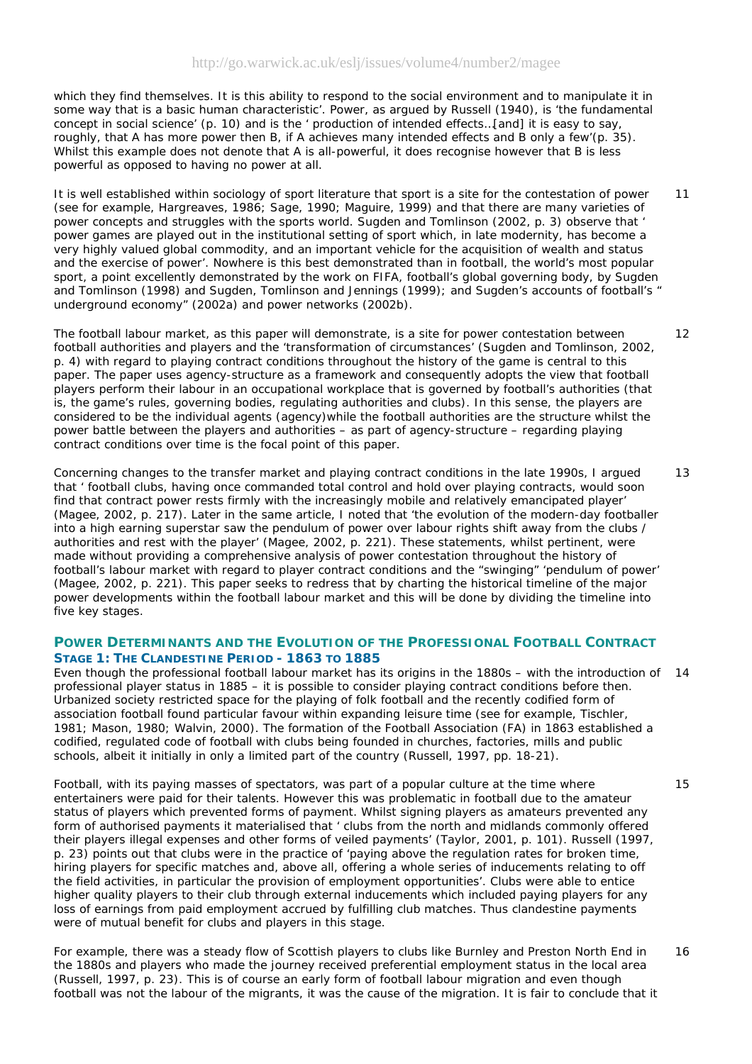which they find themselves. It is this ability to respond to the social environment and to manipulate it in some way that is a basic human characteristic'. Power, as argued by Russell (1940), is 'the fundamental concept in social science' (p. 10) and is the ' production of intended effects…[and] it is easy to say, roughly, that A has more power then B, if A achieves many intended effects and B only a few'(p. 35). Whilst this example does not denote that A is all-powerful, it does recognise however that B is less powerful as opposed to having no power at all.

It is well established within sociology of sport literature that sport is a site for the contestation of power (see for example, Hargreaves, 1986; Sage, 1990; Maguire, 1999) and that there are many varieties of power concepts and struggles with the sports world. Sugden and Tomlinson (2002, p. 3) observe that ' power games are played out in the institutional setting of sport which, in late modernity, has become a very highly valued global commodity, and an important vehicle for the acquisition of wealth and status and the exercise of power'. Nowhere is this best demonstrated than in football, the world's most popular sport, a point excellently demonstrated by the work on FIFA, football's global governing body, by Sugden and Tomlinson (1998) and Sugden, Tomlinson and Jennings (1999); and Sugden's accounts of football's ' underground economy" (2002a) and power networks (2002b). 11

The football labour market, as this paper will demonstrate, is a site for power contestation between football authorities and players and the 'transformation of circumstances' (Sugden and Tomlinson, 2002, p. 4) with regard to playing contract conditions throughout the history of the game is central to this paper. The paper uses agency-structure as a framework and consequently adopts the view that football players perform their labour in an occupational workplace that is governed by football's authorities (that is, the game's rules, governing bodies, regulating authorities and clubs). In this sense, the players are considered to be the individual *agents* (*agency*)while the football authorities are the *structure* whilst the power battle between the players and authorities – as part of agency-structure – regarding playing contract conditions over time is the focal point of this paper.

Concerning changes to the transfer market and playing contract conditions in the late 1990s, I argued that ' football clubs, having once commanded total control and hold over playing contracts, would soon find that contract power rests firmly with the increasingly mobile and relatively emancipated player' (Magee, 2002, p. 217). Later in the same article, I noted that 'the evolution of the modern-day footballer into a high earning superstar saw the pendulum of power over labour rights shift away from the clubs / authorities and rest with the player' (Magee, 2002, p. 221). These statements, whilst pertinent, were made without providing a comprehensive analysis of power contestation throughout the history of football's labour market with regard to player contract conditions and the "swinging" 'pendulum of power' (Magee, 2002, p. 221). This paper seeks to redress that by charting the historical timeline of the major power developments within the football labour market and this will be done by dividing the timeline into five key stages. 13

# **POWER DETERMINANTS AND THE EVOLUTION OF THE PROFESSIONAL FOOTBALL CONTRACT** *STAGE 1: THE CLANDESTINE PERIOD - 1863 TO 1885*

Even though the professional football labour market has its origins in the 1880s – with the introduction of 14 professional player status in 1885 – it is possible to consider playing contract conditions before then. Urbanized society restricted space for the playing of folk football and the recently codified form of association football found particular favour within expanding leisure time (see for example, Tischler, 1981; Mason, 1980; Walvin, 2000). The formation of the Football Association (FA) in 1863 established a codified, regulated code of football with clubs being founded in churches, factories, mills and public schools, albeit it initially in only a limited part of the country (Russell, 1997, pp. 18-21).

Football, with its paying masses of spectators, was part of a popular culture at the time where entertainers were paid for their talents. However this was problematic in football due to the amateur status of players which prevented forms of payment. Whilst signing players as amateurs prevented any form of authorised payments it materialised that ' clubs from the north and midlands commonly offered their players illegal expenses and other forms of veiled payments' (Taylor, 2001, p. 101). Russell (1997, p. 23) points out that clubs were in the practice of 'paying above the regulation rates for broken time, hiring players for specific matches and, above all, offering a whole series of inducements relating to off the field activities, in particular the provision of employment opportunities'. Clubs were able to entice higher quality players to their club through external inducements which included paying players for any loss of earnings from paid employment accrued by fulfilling club matches. Thus clandestine payments were of mutual benefit for clubs and players in this stage.

For example, there was a steady flow of Scottish players to clubs like Burnley and Preston North End in the 1880s and players who made the journey received preferential employment status in the local area (Russell, 1997, p. 23). This is of course an early form of football labour migration and even though football was not the *labour* of the migrants, it was the *cause* of the migration. It is fair to conclude that it 16

15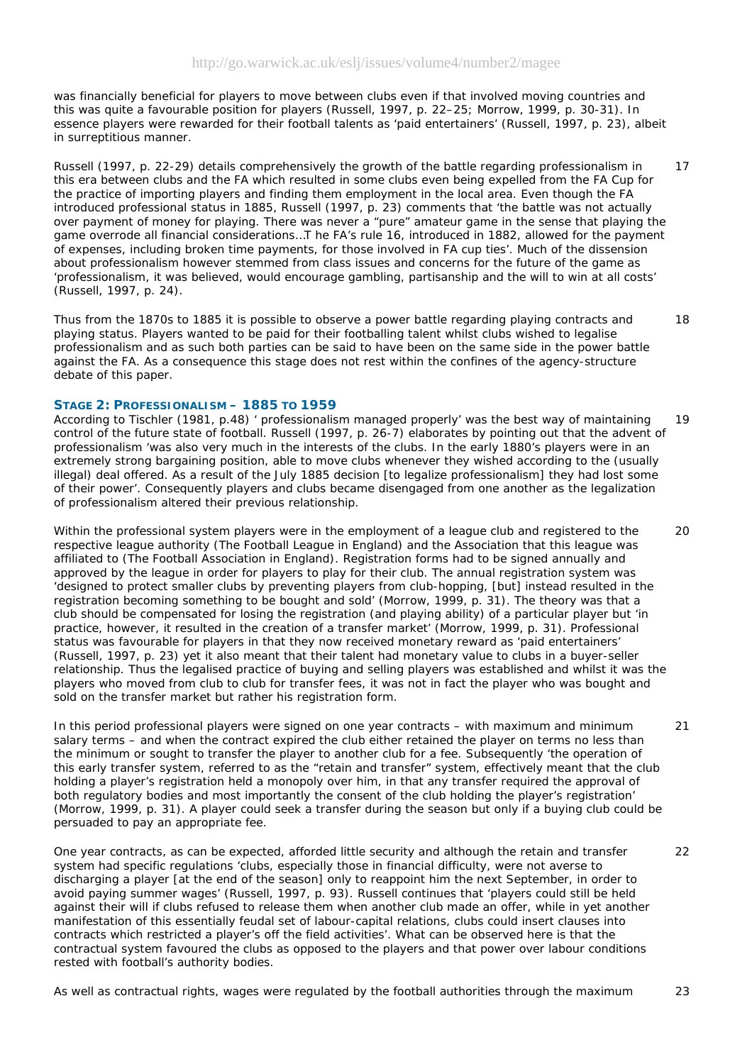was financially beneficial for players to move between clubs even if that involved moving countries and this was quite a favourable position for players (Russell, 1997, p. 22–25; Morrow, 1999, p. 30-31). In essence players were rewarded for their football talents as 'paid entertainers' (Russell, 1997, p. 23), albeit in surreptitious manner.

Russell (1997, p. 22-29) details comprehensively the growth of the battle regarding professionalism in this era between clubs and the FA which resulted in some clubs even being expelled from the FA Cup for the practice of importing players and finding them employment in the local area. Even though the FA introduced professional status in 1885, Russell (1997, p. 23) comments that 'the battle was not actually over payment of money for playing. There was never a "pure" amateur game in the sense that playing the game overrode all financial considerations…T he FA's rule 16, introduced in 1882, allowed for the payment of expenses, including broken time payments, for those involved in FA cup ties'. Much of the dissension about professionalism however stemmed from class issues and concerns for the future of the game as 'professionalism, it was believed, would encourage gambling, partisanship and the will to win at all costs' (Russell, 1997, p. 24). 17

Thus from the 1870s to 1885 it is possible to observe a power battle regarding playing contracts and playing status. Players wanted to be paid for their footballing talent whilst clubs wished to legalise professionalism and as such both parties can be said to have been on the same side in the power battle against the FA. As a consequence this stage does not rest within the confines of the agency-structure debate of this paper. 18

### *STAGE 2: PROFESSIONALISM – 1885 TO 1959*

According to Tischler (1981, p.48) ' professionalism managed properly' was the best way of maintaining control of the future state of football. Russell (1997, p. 26-7) elaborates by pointing out that the advent of professionalism 'was also very much in the interests of the clubs. In the early 1880's players were in an extremely strong bargaining position, able to move clubs whenever they wished according to the (usually illegal) deal offered. As a result of the July 1885 decision [to legalize professionalism] they had lost some of their power'. Consequently players and clubs became disengaged from one another as the legalization of professionalism altered their previous relationship. 19

Within the professional system players were in the employment of a league club and registered to the respective league authority (The Football League in England) and the Association that this league was affiliated to (The Football Association in England). Registration forms had to be signed annually and approved by the league in order for players to play for their club. The annual registration system was 'designed to protect smaller clubs by preventing players from club-hopping, [but] instead resulted in the registration becoming something to be bought and sold' (Morrow, 1999, p. 31). The theory was that a club should be compensated for losing the registration (and playing ability) of a particular player but 'in practice, however, it resulted in the creation of a transfer market' (Morrow, 1999, p. 31). Professional status was favourable for players in that they now received monetary reward as 'paid entertainers' (Russell, 1997, p. 23) yet it also meant that their talent had monetary value to clubs in a buyer-seller relationship. Thus the legalised practice of buying and selling players was established and whilst it was the players who moved from club to club for transfer fees, it was not in fact the player who was bought and sold on the transfer market but rather his registration form.

In this period professional players were signed on one year contracts – with maximum and minimum salary terms – and when the contract expired the club either retained the player on terms no less than the minimum or sought to transfer the player to another club for a fee. Subsequently 'the operation of this early transfer system, referred to as the "retain and transfer" system, effectively meant that the club holding a player's registration held a monopoly over him, in that any transfer required the approval of both regulatory bodies and most importantly the consent of the club holding the player's registration' (Morrow, 1999, p. 31). A player could seek a transfer during the season but only if a buying club could be persuaded to pay an appropriate fee.

One year contracts, as can be expected, afforded little security and although the retain and transfer system had specific regulations 'clubs, especially those in financial difficulty, were not averse to discharging a player [at the end of the season] only to reappoint him the next September, in order to avoid paying summer wages' (Russell, 1997, p. 93). Russell continues that 'players could still be held against their will if clubs refused to release them when another club made an offer, while in yet another manifestation of this essentially feudal set of labour-capital relations, clubs could insert clauses into contracts which restricted a player's off the field activities'. What can be observed here is that the contractual system favoured the clubs as opposed to the players and that power over labour conditions rested with football's authority bodies.

As well as contractual rights, wages were regulated by the football authorities through the maximum 23

#### $20$

21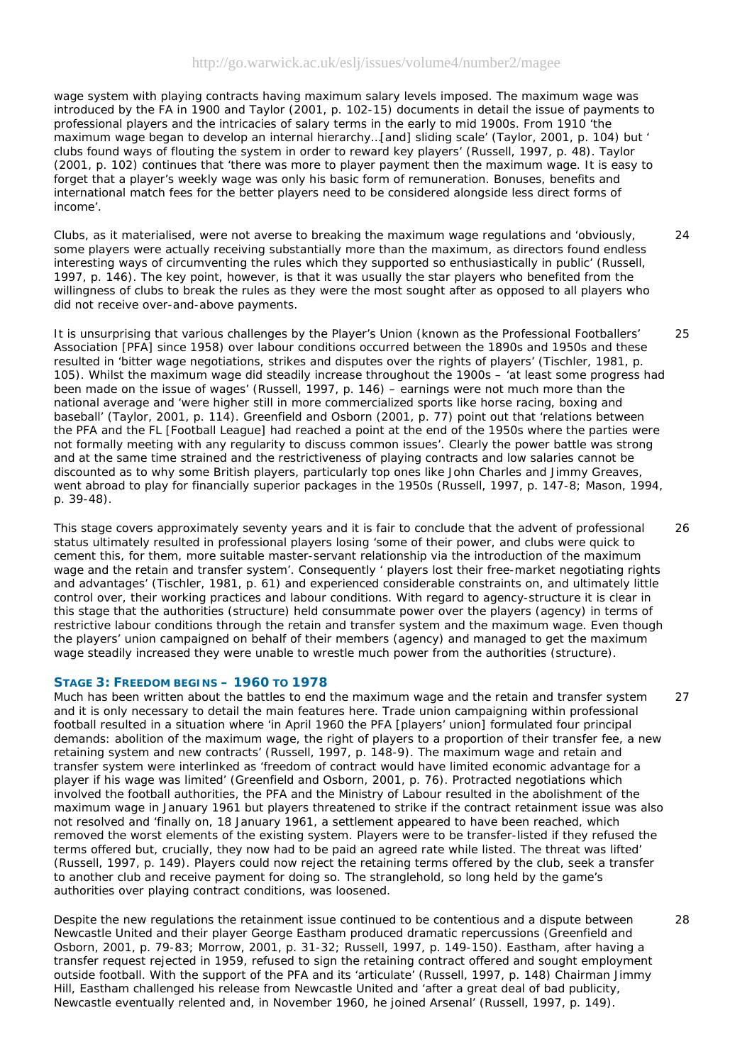wage system with playing contracts having maximum salary levels imposed. The maximum wage was introduced by the FA in 1900 and Taylor (2001, p. 102-15) documents in detail the issue of payments to professional players and the intricacies of salary terms in the early to mid 1900s. From 1910 'the maximum wage began to develop an internal hierarchy…[and] sliding scale' (Taylor, 2001, p. 104) but ' clubs found ways of flouting the system in order to reward key players' (Russell, 1997, p. 48). Taylor (2001, p. 102) continues that 'there was more to player payment then the maximum wage. It is easy to forget that a player's weekly wage was only his basic form of remuneration. Bonuses, benefits and international match fees for the better players need to be considered alongside less direct forms of income'.

Clubs, as it materialised, were not averse to breaking the maximum wage regulations and 'obviously, some players were actually receiving substantially more than the maximum, as directors found endless interesting ways of circumventing the rules which they supported so enthusiastically in public' (Russell, 1997, p. 146). The key point, however, is that it was usually the *star* players who benefited from the willingness of clubs to break the rules as they were the most sought after as opposed to *all* players who did not receive over-and-above payments.

It is unsurprising that various challenges by the Player's Union (known as the Professional Footballers' Association [PFA] since 1958) over labour conditions occurred between the 1890s and 1950s and these resulted in 'bitter wage negotiations, strikes and disputes over the rights of players' (Tischler, 1981, p. 105). Whilst the maximum wage did steadily increase throughout the 1900s – 'at least *some* progress had been made on the issue of wages' (Russell, 1997, p. 146) – earnings were not much more than the national average and 'were higher still in more commercialized sports like horse racing, boxing and baseball' (Taylor, 2001, p. 114). Greenfield and Osborn (2001, p. 77) point out that 'relations between the PFA and the FL [Football League] had reached a point at the end of the 1950s where the parties were not formally meeting with any regularity to discuss common issues'. Clearly the power battle was strong and at the same time strained and the restrictiveness of playing contracts and low salaries cannot be discounted as to why some British players, particularly top ones like John Charles and Jimmy Greaves, went abroad to play for financially superior packages in the 1950s (Russell, 1997, p. 147-8; Mason, 1994, p. 39-48).

This stage covers approximately seventy years and it is fair to conclude that the advent of professional status ultimately resulted in professional players losing 'some of their power, and clubs were quick to cement this, for them, more suitable master-servant relationship via the introduction of the maximum wage and the retain and transfer system'. Consequently ' players lost their free-market negotiating rights and advantages' (Tischler, 1981, p. 61) and experienced considerable constraints on, and ultimately little control over, their working practices and labour conditions. With regard to agency-structure it is clear in this stage that the authorities (structure) held consummate power over the players (agency) in terms of restrictive labour conditions through the retain and transfer system and the maximum wage. Even though the players' union campaigned on behalf of their members (agency) and managed to get the maximum wage steadily increased they were unable to wrestle much power from the authorities (structure).

#### *STAGE 3: FREEDOM BEGINS – 1960 TO 1978*

Much has been written about the battles to end the maximum wage and the retain and transfer system and it is only necessary to detail the main features here. Trade union campaigning within professional football resulted in a situation where 'in April 1960 the PFA [players' union] formulated four principal demands: abolition of the maximum wage, the right of players to a proportion of their transfer fee, a new retaining system and new contracts' (Russell, 1997, p. 148-9). The maximum wage and retain and transfer system were interlinked as 'freedom of contract would have limited economic advantage for a player if his wage was limited' (Greenfield and Osborn, 2001, p. 76). Protracted negotiations which involved the football authorities, the PFA and the Ministry of Labour resulted in the abolishment of the maximum wage in January 1961 but players threatened to strike if the contract retainment issue was also not resolved and 'finally on, 18 January 1961, a settlement *appeared* to have been reached, which removed the worst elements of the existing system. Players were to be transfer-listed if they refused the terms offered but, crucially, they now had to be paid an agreed rate while listed. The threat was lifted' (Russell, 1997, p. 149). Players could now reject the retaining terms offered by the club, seek a transfer to another club *and* receive payment for doing so. The stranglehold, so long held by the game's authorities over playing contract conditions, was loosened. 27

Despite the new regulations the retainment issue continued to be contentious and a dispute between Newcastle United and their player George Eastham produced dramatic repercussions (Greenfield and Osborn, 2001, p. 79-83; Morrow, 2001, p. 31-32; Russell, 1997, p. 149-150). Eastham, after having a transfer request rejected in 1959, refused to sign the retaining contract offered and sought employment outside football. With the support of the PFA and its 'articulate' (Russell, 1997, p. 148) Chairman Jimmy Hill, Eastham challenged his release from Newcastle United and 'after a great deal of bad publicity, Newcastle eventually relented and, in November 1960, he joined Arsenal' (Russell, 1997, p. 149).

28

 $24$ 

25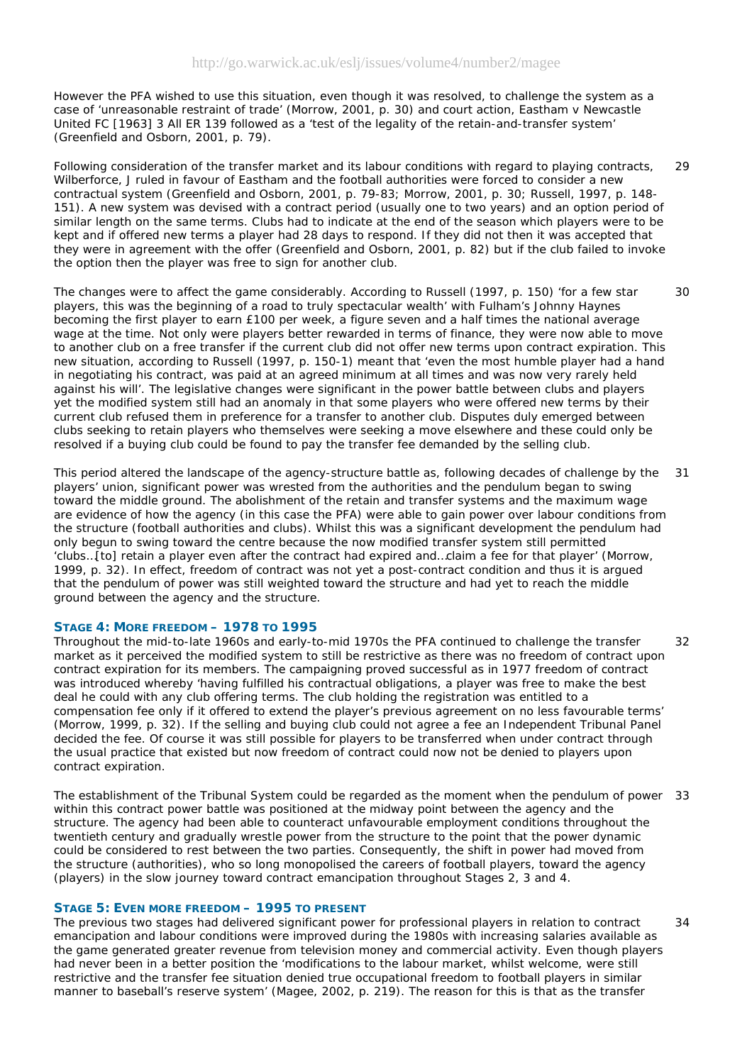However the PFA wished to use this situation, even though it was resolved, to challenge the system as a case of 'unreasonable restraint of trade' (Morrow, 2001, p. 30) and court action, *Eastham v Newcastle United FC* [1963] 3 All ER 139 followed as a 'test of the legality of the retain-and-transfer system' (Greenfield and Osborn, 2001, p. 79).

Following consideration of the transfer market and its labour conditions with regard to playing contracts, Wilberforce, J ruled in favour of Eastham and the football authorities were forced to consider a new contractual system (Greenfield and Osborn, 2001, p. 79-83; Morrow, 2001, p. 30; Russell, 1997, p. 148- 151). A new system was devised with a contract period (usually one to two years) and an option period of similar length on the same terms. Clubs had to indicate at the end of the season which players were to be kept and if offered new terms a player had 28 days to respond. If they did not then it was accepted that they were in agreement with the offer (Greenfield and Osborn, 2001, p. 82) but if the club failed to invoke the option then the player was free to sign for another club. 29

The changes were to affect the game considerably. According to Russell (1997, p. 150) 'for a few star players, this was the beginning of a road to truly spectacular wealth' with Fulham's Johnny Haynes becoming the first player to earn £100 per week, a figure seven and a half times the national average wage at the time. Not only were players better rewarded in terms of finance, they were now able to move to another club on a free transfer if the current club did not offer new terms upon contract expiration. This new situation, according to Russell (1997, p. 150-1) meant that 'even the most humble player had a hand in negotiating his contract, was paid at an agreed minimum at all times and was now very rarely held against his will'. The legislative changes were significant in the power battle between clubs and players yet the modified system still had an anomaly in that some players who were offered new terms by their current club refused them in preference for a transfer to another club. Disputes duly emerged between clubs seeking to retain players who themselves were seeking a move elsewhere and these could only be resolved if a buying club could be found to pay the transfer fee demanded by the selling club. 30

This period altered the landscape of the agency-structure battle as, following decades of challenge by the players' union, significant power was wrested from the authorities and the pendulum began to swing toward the middle ground. The abolishment of the retain and transfer systems and the maximum wage are evidence of how the agency (in this case the PFA) were able to gain power over labour conditions from the structure (football authorities and clubs). Whilst this was a significant development the pendulum had only begun to swing toward the centre because the now modified transfer system still permitted 'clubs…[to] retain a player even after the contract had expired and…claim a fee for that player' (Morrow, 1999, p. 32). In effect, freedom of contract was not yet a post-contract condition and thus it is argued that the pendulum of power was still weighted toward the structure and had yet to reach the middle ground between the agency and the structure. 31

# *STAGE 4: MORE FREEDOM – 1978 TO 1995*

Throughout the mid-to-late 1960s and early-to-mid 1970s the PFA continued to challenge the transfer market as it perceived the modified system to still be restrictive as there was no freedom of contract upon contract expiration for its members. The campaigning proved successful as in 1977 freedom of contract was introduced whereby 'having fulfilled his contractual obligations, a player was free to make the best deal he could with any club offering terms. The club holding the registration was entitled to a compensation fee only if it offered to extend the player's previous agreement on no less favourable terms' (Morrow, 1999, p. 32). If the selling and buying club could not agree a fee an Independent Tribunal Panel decided the fee. Of course it was still possible for players to be transferred when under contract through the usual practice that existed but now freedom of contract could now not be denied to players upon contract expiration. 32

The establishment of the Tribunal System could be regarded as the moment when the pendulum of power 33 within this contract power battle was positioned at the midway point between the agency and the structure. The agency had been able to counteract unfavourable employment conditions throughout the twentieth century and gradually wrestle power from the structure to the point that the power dynamic could be considered to rest between the two parties. Consequently, the shift in power had moved *from* the structure (authorities), who so long monopolised the careers of football players, *toward* the agency (players) in the slow journey toward contract emancipation throughout Stages 2, 3 and 4.

#### *STAGE 5: EVEN MORE FREEDOM – 1995 TO PRESENT*

The previous two stages had delivered significant power for professional players in relation to contract emancipation and labour conditions were improved during the 1980s with increasing salaries available as the game generated greater revenue from television money and commercial activity. Even though players had never been in a better position the 'modifications to the labour market, whilst welcome, were still restrictive and the transfer fee situation denied true occupational freedom to football players in similar manner to baseball's reserve system' (Magee, 2002, p. 219). The reason for this is that as the transfer 34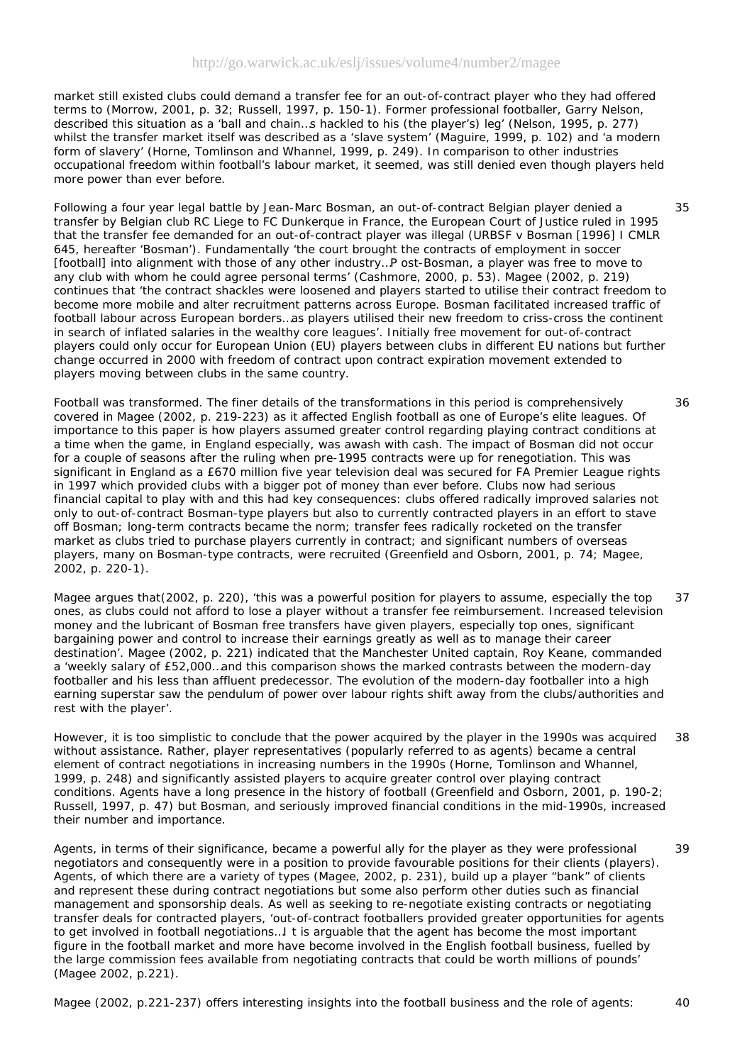market still existed clubs could demand a transfer fee for an out-of-contract player who they had offered terms to (Morrow, 2001, p. 32; Russell, 1997, p. 150-1). Former professional footballer, Garry Nelson, described this situation as a 'ball and chain…s hackled to his (the player's) leg' (Nelson, 1995, p. 277) whilst the transfer market itself was described as a 'slave system' (Maguire, 1999, p. 102) and 'a modern form of slavery' (Horne, Tomlinson and Whannel, 1999, p. 249). In comparison to other industries occupational freedom within football's labour market, it seemed, was still denied even though players held more power than ever before.

Following a four year legal battle by Jean-Marc Bosman, an out-of-contract Belgian player denied a transfer by Belgian club RC Liege to FC Dunkerque in France, the European Court of Justice ruled in 1995 that the transfer fee demanded for an out-of-contract player was illegal (*URBSF v Bosman* [1996] I CMLR 645, hereafter '*Bosman*'). Fundamentally 'the court brought the contracts of employment in soccer [football] into alignment with those of any other industry…P ost-*Bosman*, a player was free to move to any club with whom he could agree personal terms' (Cashmore, 2000, p. 53). Magee (2002, p. 219) continues that 'the contract shackles were loosened and players started to utilise their contract freedom to become more mobile and alter recruitment patterns across Europe. *Bosman* facilitated increased traffic of football labour across European borders…as players utilised their new freedom to criss-cross the continent in search of inflated salaries in the wealthy core leagues'. Initially free movement for out-of-contract players could only occur for European Union (EU) players between clubs in different EU nations but further change occurred in 2000 with freedom of contract upon contract expiration movement extended to players moving between clubs in the same country.

Football was transformed. The finer details of the transformations in this period is comprehensively covered in Magee (2002, p. 219-223) as it affected English football as one of Europe's elite leagues. Of importance to this paper is how players assumed greater control regarding playing contract conditions at a time when the game, in England especially, was awash with cash. The impact of *Bosman* did not occur for a couple of seasons after the ruling when pre-1995 contracts were up for renegotiation. This was significant in England as a £670 million five year television deal was secured for FA Premier League rights in 1997 which provided clubs with a bigger pot of money than ever before. Clubs now had serious financial capital to play with and this had key consequences: clubs offered radically improved salaries not only to out-of-contract *Bosman*-type players but also to currently contracted players in an effort to stave off *Bosman*; long-term contracts became the norm; transfer fees radically rocketed on the transfer market as clubs tried to purchase players currently in contract; and significant numbers of overseas players, many on *Bosman*-type contracts, were recruited (Greenfield and Osborn, 2001, p. 74; Magee, 2002, p. 220-1).

Magee argues that(2002, p. 220), 'this was a powerful position for players to assume, especially the top ones, as clubs could not afford to lose a player without a transfer fee reimbursement. Increased television money and the lubricant of *Bosman* free transfers have given players, especially top ones, significant bargaining power and control to increase their earnings greatly as well as to manage their career destination'. Magee (2002, p. 221) indicated that the Manchester United captain, Roy Keane, commanded a 'weekly salary of £52,000…and this comparison shows the marked contrasts between the modern-day footballer and his less than affluent predecessor. The evolution of the modern-day footballer into a high earning superstar saw the pendulum of power over labour rights shift away from the clubs/authorities and rest with the player'. 37

However, it is too simplistic to conclude that the power acquired by the player in the 1990s was acquired without assistance. Rather, player representatives (popularly referred to as agents) became a central element of contract negotiations in increasing numbers in the 1990s (Horne, Tomlinson and Whannel, 1999, p. 248) and significantly assisted players to acquire greater control over playing contract conditions. Agents have a long presence in the history of football (Greenfield and Osborn, 2001, p. 190-2; Russell, 1997, p. 47) but *Bosman*, and seriously improved financial conditions in the mid-1990s, increased their number and importance. 38

Agents, in terms of their significance, became a powerful ally for the player as they were professional negotiators and consequently were in a position to provide favourable positions for their clients (players). Agents, of which there are a variety of types (Magee, 2002, p. 231), build up a player "bank" of clients and represent these during contract negotiations but some also perform other duties such as financial management and sponsorship deals. As well as seeking to re-negotiate existing contracts or negotiating transfer deals for contracted players, 'out-of-contract footballers provided greater opportunities for agents to get involved in football negotiations…I t is arguable that the agent has become the most important figure in the football market and more have become involved in the English football business, fuelled by the large commission fees available from negotiating contracts that could be worth millions of pounds' (Magee 2002, p.221).

Magee (2002, p.221-237) offers interesting insights into the football business and the role of agents: 40

39

35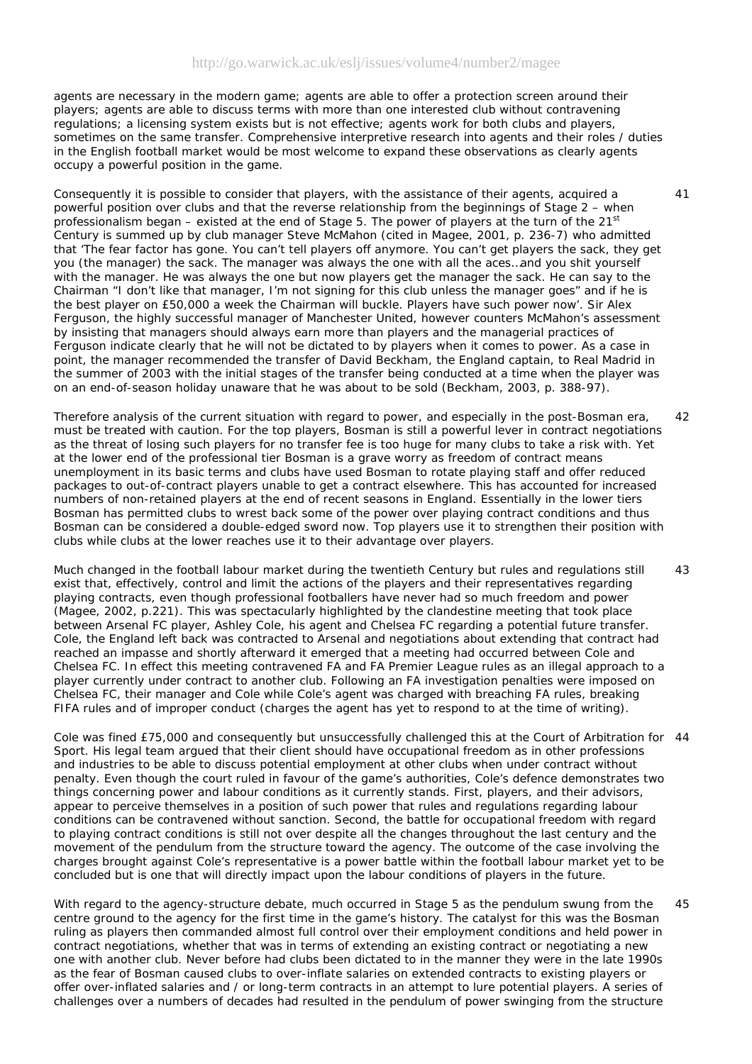agents are necessary in the modern game; agents are able to offer a protection screen around their players; agents are able to discuss terms with more than one interested club without contravening regulations; a licensing system exists but is not effective; agents work for both clubs and players, sometimes on the same transfer. Comprehensive interpretive research into agents and their roles / duties in the English football market would be most welcome to expand these observations as clearly agents occupy a powerful position in the game.

Consequently it is possible to consider that players, with the assistance of their agents, acquired a powerful position over clubs and that the reverse relationship from the beginnings of Stage 2 – when professionalism began – existed at the end of Stage 5. The power of players at the turn of the  $21<sup>st</sup>$ Century is summed up by club manager Steve McMahon (cited in Magee, 2001, p. 236-7) who admitted that 'The fear factor has gone. You can't tell players off anymore. You can't get players the sack, they get you (the manager) the sack. The manager was always the one with all the aces…and you shit yourself with the manager. He was always the one but now players get the manager the sack. He can say to the Chairman "I don't like that manager, I'm not signing for this club unless the manager goes" and if he is the best player on £50,000 a week the Chairman will buckle. Players have such power now'. Sir Alex Ferguson, the highly successful manager of Manchester United, however counters McMahon's assessment by insisting that managers should always earn more than players and the managerial practices of Ferguson indicate clearly that he will not be dictated to by players when it comes to power. As a case in point, the manager recommended the transfer of David Beckham, the England captain, to Real Madrid in the summer of 2003 with the initial stages of the transfer being conducted at a time when the player was on an end-of-season holiday unaware that he was about to be sold (Beckham, 2003, p. 388-97).

Therefore analysis of the current situation with regard to power, and especially in the post-Bosman era, must be treated with caution. For the top players, *Bosman* is still a powerful lever in contract negotiations as the threat of losing such players for no transfer fee is too huge for many clubs to take a risk with. Yet at the lower end of the professional tier *Bosman* is a grave worry as freedom of contract means unemployment in its basic terms and clubs have used *Bosman* to rotate playing staff and offer reduced packages to out-of-contract players unable to get a contract elsewhere. This has accounted for increased numbers of non-retained players at the end of recent seasons in England. Essentially in the lower tiers *Bosman* has permitted clubs to wrest back some of the power over playing contract conditions and thus *Bosman* can be considered a double-edged sword now. Top players use it to strengthen their position with clubs while clubs at the lower reaches use it to their advantage over players.  $42$ 

Much changed in the football labour market during the twentieth Century but rules and regulations still exist that, effectively, control and limit the actions of the players and their representatives regarding playing contracts, even though professional footballers have never had so much freedom and power (Magee, 2002, p.221). This was spectacularly highlighted by the clandestine meeting that took place between Arsenal FC player, Ashley Cole, his agent and Chelsea FC regarding a potential future transfer. Cole, the England left back was contracted to Arsenal and negotiations about extending that contract had reached an impasse and shortly afterward it emerged that a meeting had occurred between Cole and Chelsea FC. In effect this meeting contravened FA and FA Premier League rules as an illegal approach to a player currently under contract to another club. Following an FA investigation penalties were imposed on Chelsea FC, their manager and Cole while Cole's agent was charged with breaching FA rules, breaking FIFA rules and of improper conduct (charges the agent has yet to respond to at the time of writing). 43

Cole was fined £75,000 and consequently but unsuccessfully challenged this at the Court of Arbitration for 44 Sport. His legal team argued that their client should have occupational freedom as in other professions and industries to be able to discuss potential employment at other clubs when under contract without penalty. Even though the court ruled in favour of the game's authorities, Cole's defence demonstrates two things concerning power and labour conditions as it currently stands. First, players, and their advisors, appear to perceive themselves in a position of such power that rules and regulations regarding labour conditions can be contravened without sanction. Second, the battle for occupational freedom with regard to playing contract conditions is still not over despite all the changes throughout the last century and the movement of the pendulum from the structure toward the agency. The outcome of the case involving the charges brought against Cole's representative is a power battle within the football labour market yet to be concluded but is one that will directly impact upon the labour conditions of players in the future.

With regard to the agency-structure debate, much occurred in Stage 5 as the pendulum swung from the centre ground to the agency for the first time in the game's history. The catalyst for this was the *Bosman* ruling as players then commanded almost full control over their employment conditions and held power in contract negotiations, whether that was in terms of extending an existing contract or negotiating a new one with another club. Never before had clubs been dictated to in the manner they were in the late 1990s as the fear of *Bosman* caused clubs to over-inflate salaries on extended contracts to existing players or offer over-inflated salaries and / or long-term contracts in an attempt to lure potential players. A series of challenges over a numbers of decades had resulted in the pendulum of power swinging from the structure 45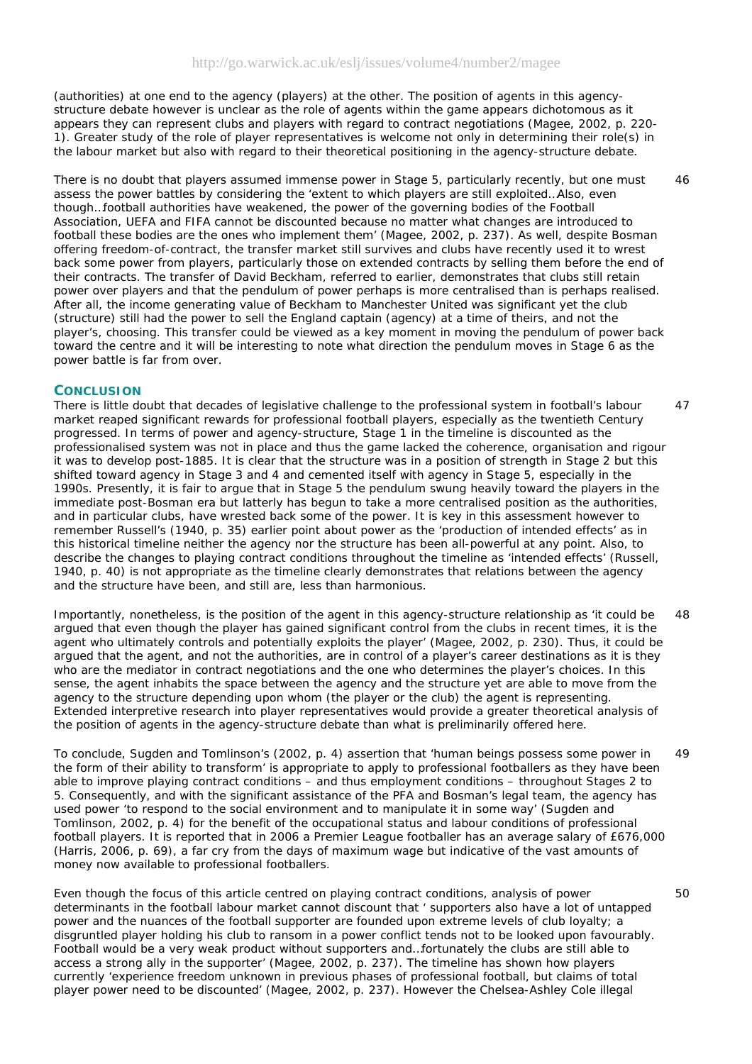(authorities) at one end to the agency (players) at the other. The position of agents in this agencystructure debate however is unclear as the role of agents within the game appears dichotomous as it appears they can represent clubs *and* players with regard to contract negotiations (Magee, 2002, p. 220- 1). Greater study of the role of player representatives is welcome not only in determining their role(s) in the labour market but also with regard to their theoretical positioning in the agency-structure debate.

There is no doubt that players assumed immense power in Stage 5, particularly recently, but one must assess the power battles by considering the 'extent to which players are still exploited…Also, even though…football authorities have weakened, the power of the governing bodies of the Football Association, UEFA and FIFA cannot be discounted because no matter what changes are introduced to football these bodies are the ones who implement them' (Magee, 2002, p. 237). As well, despite Bosman offering freedom-of-contract, the transfer market still survives and clubs have recently used it to wrest back some power from players, particularly those on extended contracts by selling them before the end of their contracts. The transfer of David Beckham, referred to earlier, demonstrates that clubs still retain power over players and that the pendulum of power perhaps is more centralised than is perhaps realised. After all, the income generating value of Beckham to Manchester United was significant yet the club (structure) still had the power to sell the England captain (agency) at a time of theirs, and not the player's, choosing. This transfer could be viewed as a key moment in moving the pendulum of power back toward the centre and it will be interesting to note what direction the pendulum moves in Stage 6 as the power battle is far from over.

#### **CONCLUSION**

There is little doubt that decades of legislative challenge to the professional system in football's labour market reaped significant rewards for professional football players, especially as the twentieth Century progressed. In terms of power and agency-structure, Stage 1 in the timeline is discounted as the professionalised system was not in place and thus the game lacked the coherence, organisation and rigour it was to develop post-1885. It is clear that the *structure* was in a position of strength in Stage 2 but this shifted toward *agency* in Stage 3 and 4 and cemented itself with *agency* in Stage 5, especially in the 1990s. Presently, it is fair to argue that in Stage 5 the pendulum swung heavily toward the players in the immediate post-Bosman era but latterly has begun to take a more centralised position as the authorities, and in particular clubs, have wrested back some of the power. It is key in this assessment however to remember Russell's (1940, p. 35) earlier point about power as the 'production of intended effects' as in this historical timeline neither the agency nor the structure has been all-powerful at any point. Also, to describe the changes to playing contract conditions throughout the timeline as 'intended effects' (Russell, 1940, p. 40) is not appropriate as the timeline clearly demonstrates that relations between the *agency* and the *structure* have been, and still are, less than harmonious. 47

Importantly, nonetheless, is the position of the agent in this agency-structure relationship as 'it could be argued that even though the player has gained significant control from the clubs in recent times, it is the agent who ultimately controls and potentially exploits the player' (Magee, 2002, p. 230). Thus, it could be argued that the agent, and not the authorities, are in control of a player's career destinations as it is they who are the mediator in contract negotiations and the one who determines the player's choices. In this sense, the agent inhabits the space between the *agency* and the *structure* yet are able to move from the *agency* to the *structure* depending upon whom (the player or the club) the agent is representing. Extended interpretive research into player representatives would provide a greater theoretical analysis of the position of agents in the agency-structure debate than what is preliminarily offered here. 48

To conclude, Sugden and Tomlinson's (2002, p. 4) assertion that 'human beings possess some power in the form of their ability to transform' is appropriate to apply to professional footballers as they have been able to improve playing contract conditions – and thus employment conditions – throughout Stages 2 to 5. Consequently, and with the significant assistance of the PFA and Bosman's legal team, the *agency* has used power 'to respond to the social environment and to manipulate it in some way' (Sugden and Tomlinson, 2002, p. 4) for the benefit of the occupational status and labour conditions of professional football players. It is reported that in 2006 a Premier League footballer has an average salary of £676,000 (Harris, 2006, p. 69), a far cry from the days of maximum wage but indicative of the vast amounts of money now available to professional footballers. 49

Even though the focus of this article centred on playing contract conditions, analysis of power determinants in the football labour market cannot discount that ' supporters also have a lot of untapped power and the nuances of the football supporter are founded upon extreme levels of club loyalty; a disgruntled player holding his club to ransom in a power conflict tends not to be looked upon favourably. Football would be a very weak product without supporters and…fortunately the clubs are still able to access a strong ally in the supporter' (Magee, 2002, p. 237). The timeline has shown how players currently 'experience freedom unknown in previous phases of professional football, but claims of total player power need to be discounted' (Magee, 2002, p. 237). However the Chelsea-Ashley Cole illegal

50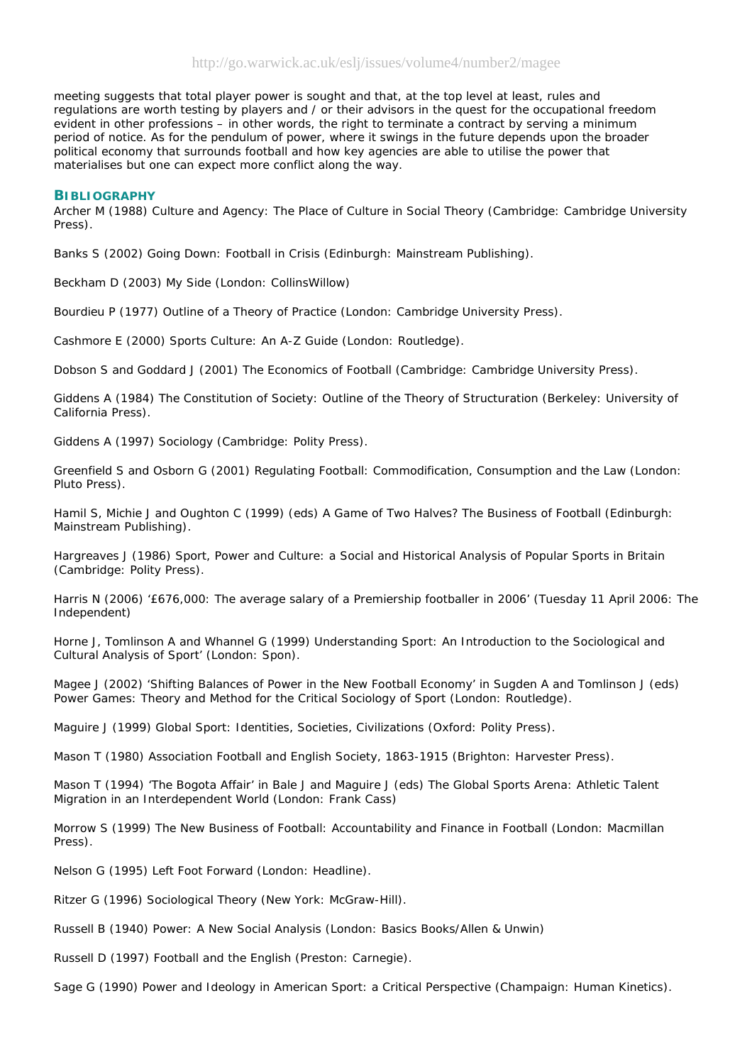meeting suggests that total player power is sought and that, at the top level at least, rules and regulations are worth testing by players and / or their advisors in the quest for the occupational freedom evident in other professions – in other words, the right to terminate a contract by serving a minimum period of notice. As for the pendulum of power, where it swings in the future depends upon the broader political economy that surrounds football and how key agencies are able to utilise the power that materialises but one can expect more conflict along the way.

#### **BIBLIOGRAPHY**

Archer M (1988) Culture and Agency: The Place of Culture in Social Theory (Cambridge: Cambridge University Press).

Banks S (2002) Going Down: Football in Crisis (Edinburgh: Mainstream Publishing).

Beckham D (2003) My Side (London: CollinsWillow)

Bourdieu P (1977) Outline of a Theory of Practice (London: Cambridge University Press).

Cashmore E (2000) Sports Culture: An A-Z Guide (London: Routledge).

Dobson S and Goddard J (2001) The Economics of Football (Cambridge: Cambridge University Press).

Giddens A (1984) The Constitution of Society: Outline of the Theory of Structuration (Berkeley: University of California Press).

Giddens A (1997) Sociology (Cambridge: Polity Press).

Greenfield S and Osborn G (2001) Regulating Football: Commodification, Consumption and the Law (London: Pluto Press).

Hamil S, Michie J and Oughton C (1999) (eds) A Game of Two Halves? The Business of Football (Edinburgh: Mainstream Publishing).

Hargreaves J (1986) Sport, Power and Culture: a Social and Historical Analysis of Popular Sports in Britain (Cambridge: Polity Press).

Harris N (2006) '£676,000: The average salary of a Premiership footballer in 2006' (Tuesday 11 April 2006: The Independent)

Horne J, Tomlinson A and Whannel G (1999) Understanding Sport: An Introduction to the Sociological and Cultural Analysis of Sport' (London: Spon).

Magee J (2002) 'Shifting Balances of Power in the New Football Economy' in Sugden A and Tomlinson J (eds) Power Games: Theory and Method for the Critical Sociology of Sport (London: Routledge).

Maguire J (1999) Global Sport: Identities, Societies, Civilizations (Oxford: Polity Press).

Mason T (1980) Association Football and English Society, 1863-1915 (Brighton: Harvester Press).

Mason T (1994) 'The Bogota Affair' in Bale J and Maguire J (eds) The Global Sports Arena: Athletic Talent Migration in an Interdependent World (London: Frank Cass)

Morrow S (1999) The New Business of Football: Accountability and Finance in Football (London: Macmillan Press).

Nelson G (1995) Left Foot Forward (London: Headline).

Ritzer G (1996) Sociological Theory (New York: McGraw-Hill).

Russell B (1940) Power: A New Social Analysis (London: Basics Books/Allen & Unwin)

Russell D (1997) Football and the English (Preston: Carnegie).

Sage G (1990) Power and Ideology in American Sport: a Critical Perspective (Champaign: Human Kinetics).